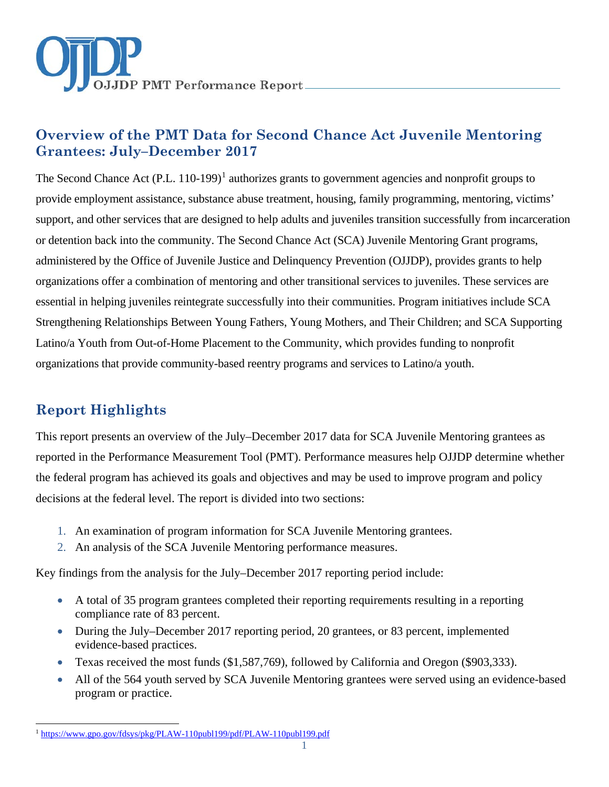

# **Overview of the PMT Data for Second Chance Act Juvenile Mentoring Grantees: July–December 2017**

The Second Chance Act  $(P.L. 110-199)^1$  $(P.L. 110-199)^1$  $(P.L. 110-199)^1$  authorizes grants to government agencies and nonprofit groups to provide employment assistance, substance abuse treatment, housing, family programming, mentoring, victims' support, and other services that are designed to help adults and juveniles transition successfully from incarceration or detention back into the community. The Second Chance Act (SCA) Juvenile Mentoring Grant programs, administered by the Office of Juvenile Justice and Delinquency Prevention (OJJDP), provides grants to help organizations offer a combination of mentoring and other transitional services to juveniles. These services are essential in helping juveniles reintegrate successfully into their communities. Program initiatives include SCA Strengthening Relationships Between Young Fathers, Young Mothers, and Their Children; and SCA Supporting Latino/a Youth from Out-of-Home Placement to the Community, which provides funding to nonprofit organizations that provide community-based reentry programs and services to Latino/a youth.

## **Report Highlights**

This report presents an overview of the July–December 2017 data for SCA Juvenile Mentoring grantees as reported in the Performance Measurement Tool (PMT). Performance measures help OJJDP determine whether the federal program has achieved its goals and objectives and may be used to improve program and policy decisions at the federal level. The report is divided into two sections:

- 1. An examination of program information for SCA Juvenile Mentoring grantees.
- 2. An analysis of the SCA Juvenile Mentoring performance measures.

Key findings from the analysis for the July–December 2017 reporting period include:

- A total of 35 program grantees completed their reporting requirements resulting in a reporting compliance rate of 83 percent.
- During the July–December 2017 reporting period, 20 grantees, or 83 percent, implemented evidence-based practices.
- Texas received the most funds (\$1,587,769), followed by California and Oregon (\$903,333).
- All of the 564 youth served by SCA Juvenile Mentoring grantees were served using an evidence-based program or practice.

<span id="page-0-0"></span> $\overline{a}$ <sup>1</sup> <https://www.gpo.gov/fdsys/pkg/PLAW-110publ199/pdf/PLAW-110publ199.pdf>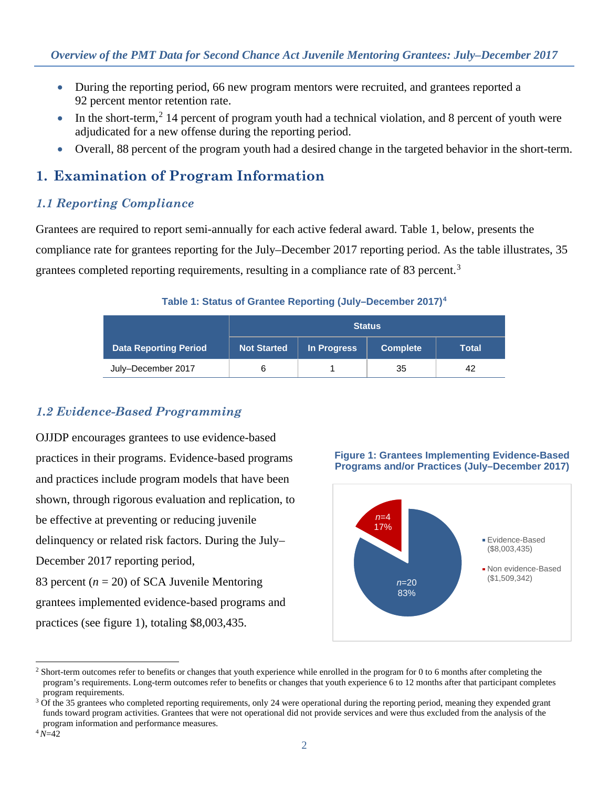- During the reporting period, 66 new program mentors were recruited, and grantees reported a 92 percent mentor retention rate.
- $\bullet$  In the short-term,<sup>[2](#page-1-0)</sup> 14 percent of program youth had a technical violation, and 8 percent of youth were adjudicated for a new offense during the reporting period.
- Overall, 88 percent of the program youth had a desired change in the targeted behavior in the short-term.

## **1. Examination of Program Information**

### *1.1 Reporting Compliance*

Grantees are required to report semi-annually for each active federal award. Table 1, below, presents the compliance rate for grantees reporting for the July–December 2017 reporting period. As the table illustrates, 35 grantees completed reporting requirements, resulting in a compliance rate of 8[3](#page-1-1) percent.<sup>3</sup>

#### **Table 1: Status of Grantee Reporting (July–December 2017)[4](#page-1-2)**

|                              | <b>Status</b>      |             |                 |       |
|------------------------------|--------------------|-------------|-----------------|-------|
| <b>Data Reporting Period</b> | <b>Not Started</b> | In Progress | <b>Complete</b> | Total |
| July-December 2017           |                    |             | 35              | 42    |

## *1.2 Evidence-Based Programming*

OJJDP encourages grantees to use evidence-based practices in their programs. Evidence-based programs and practices include program models that have been shown, through rigorous evaluation and replication, to be effective at preventing or reducing juvenile delinquency or related risk factors. During the July– December 2017 reporting period, 83 percent (*n* = 20) of SCA Juvenile Mentoring grantees implemented evidence-based programs and practices (see figure 1), totaling \$8,003,435.

**Figure 1: Grantees Implementing Evidence-Based Programs and/or Practices (July–December 2017)** 



<span id="page-1-0"></span> $\overline{a}$ <sup>2</sup> Short-term outcomes refer to benefits or changes that youth experience while enrolled in the program for 0 to 6 months after completing the program's requirements. Long-term outcomes refer to benefits or changes that youth experience 6 to 12 months after that participant completes program requirements.

<span id="page-1-1"></span> $3$  Of the 35 grantees who completed reporting requirements, only 24 were operational during the reporting period, meaning they expended grant funds toward program activities. Grantees that were not operational did not provide services and were thus excluded from the analysis of the program information and performance measures.

<span id="page-1-2"></span><sup>4</sup>*N*=42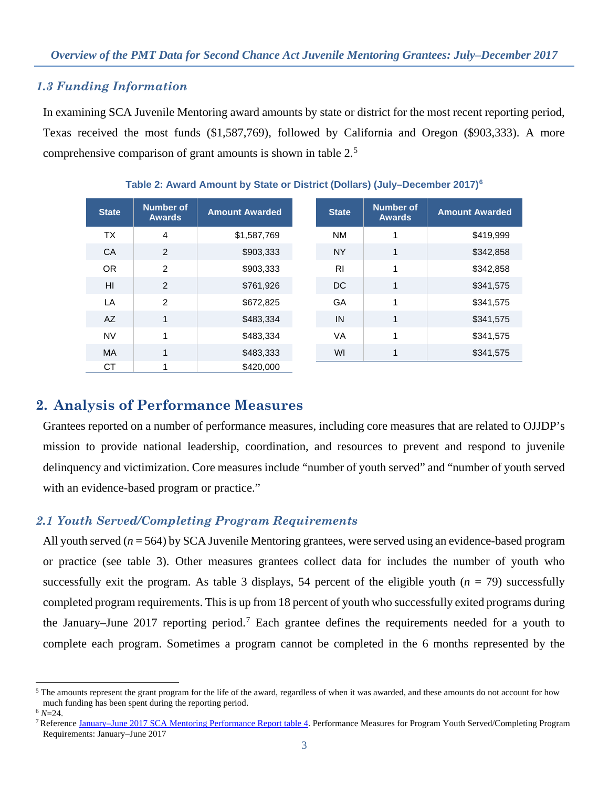#### *1.3 Funding Information*

In examining SCA Juvenile Mentoring award amounts by state or district for the most recent reporting period, Texas received the most funds (\$1,587,769), followed by California and Oregon (\$903,333). A more comprehensive comparison of grant amounts is shown in table 2. [5](#page-2-0)

| <b>State</b> | <b>Number of</b><br><b>Awards</b> | <b>Amount Awarded</b> | <b>State</b>   | <b>Number of</b><br><b>Awards</b> | <b>Amount Awarded</b> |
|--------------|-----------------------------------|-----------------------|----------------|-----------------------------------|-----------------------|
| <b>TX</b>    | 4                                 | \$1,587,769           | <b>NM</b>      | 1                                 | \$419,999             |
| CA           | 2                                 | \$903,333             | <b>NY</b>      | 1                                 | \$342,858             |
| <b>OR</b>    | $\mathfrak{p}$                    | \$903,333             | R <sub>l</sub> | 1                                 | \$342,858             |
| HI           | 2                                 | \$761,926             | DC             | 1                                 | \$341,575             |
| LA           | 2                                 | \$672,825             | GA             | 1                                 | \$341,575             |
| AZ           | $\mathbf{1}$                      | \$483,334             | IN             | 1                                 | \$341,575             |
| <b>NV</b>    | 1                                 | \$483,334             | VA             | 1                                 | \$341,575             |
| MA           | 1                                 | \$483,333             | WI             | 1                                 | \$341,575             |
| <b>CT</b>    |                                   | \$420,000             |                |                                   |                       |

#### **Table 2: Award Amount by State or District (Dollars) (July–December 2017)[6](#page-2-1)**

## **2. Analysis of Performance Measures**

Grantees reported on a number of performance measures, including core measures that are related to OJJDP's mission to provide national leadership, coordination, and resources to prevent and respond to juvenile delinquency and victimization. Core measures include "number of youth served" and "number of youth served with an evidence-based program or practice."

### *2.1 Youth Served/Completing Program Requirements*

All youth served (*n* = 564) by SCA Juvenile Mentoring grantees, were served using an evidence-based program or practice (see table 3). Other measures grantees collect data for includes the number of youth who successfully exit the program. As table 3 displays, 54 percent of the eligible youth  $(n = 79)$  successfully completed program requirements. This is up from 18 percent of youth who successfully exited programs during the January–June 201[7](#page-2-2) reporting period.<sup>7</sup> Each grantee defines the requirements needed for a youth to complete each program. Sometimes a program cannot be completed in the 6 months represented by the

<span id="page-2-0"></span> $\ddot{\phantom{a}}$ <sup>5</sup> The amounts represent the grant program for the life of the award, regardless of when it was awarded, and these amounts do not account for how much funding has been spent during the reporting period.  $6$  N=24.

<span id="page-2-2"></span><span id="page-2-1"></span><sup>&</sup>lt;sup>7</sup> Referenc[e January–June 2017 SCA Mentoring Performance Report](https://ojjdppmt.ojp.gov/help/OJJDP%20RE_DataMemo_SCA_Final_2017_508.pdf) table 4. Performance Measures for Program Youth Served/Completing Program Requirements: January–June 2017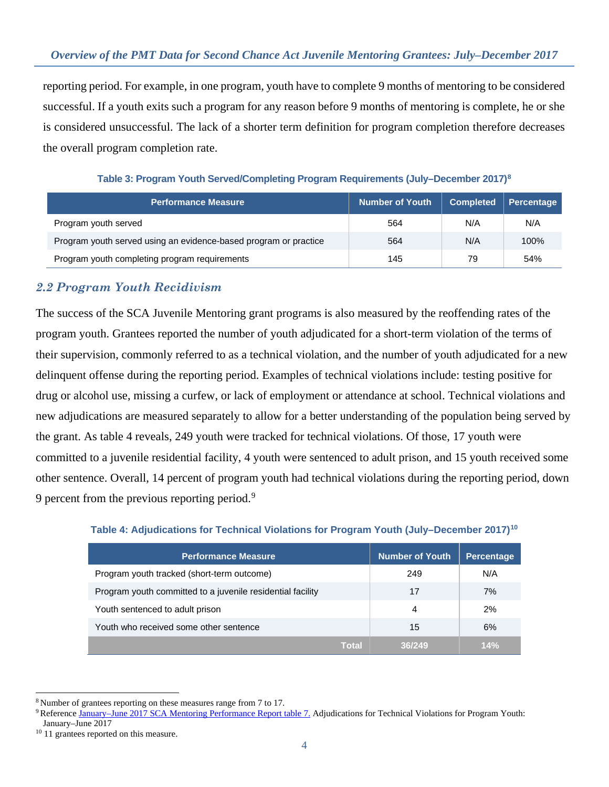reporting period. For example, in one program, youth have to complete 9 months of mentoring to be considered successful. If a youth exits such a program for any reason before 9 months of mentoring is complete, he or she is considered unsuccessful. The lack of a shorter term definition for program completion therefore decreases the overall program completion rate.

**Table 3: Program Youth Served/Completing Program Requirements (July–December 2017[\)8](#page-3-0)**

| <b>Performance Measure</b>                                       | <b>Number of Youth</b> | <b>Completed</b> | <b>Percentage</b> |
|------------------------------------------------------------------|------------------------|------------------|-------------------|
| Program youth served                                             | 564                    | N/A              | N/A               |
| Program youth served using an evidence-based program or practice | 564                    | N/A              | 100%              |
| Program youth completing program requirements                    | 145                    | 79               | 54%               |

### *2.2 Program Youth Recidivism*

The success of the SCA Juvenile Mentoring grant programs is also measured by the reoffending rates of the program youth. Grantees reported the number of youth adjudicated for a short-term violation of the terms of their supervision, commonly referred to as a technical violation, and the number of youth adjudicated for a new delinquent offense during the reporting period. Examples of technical violations include: testing positive for drug or alcohol use, missing a curfew, or lack of employment or attendance at school. Technical violations and new adjudications are measured separately to allow for a better understanding of the population being served by the grant. As table 4 reveals, 249 youth were tracked for technical violations. Of those, 17 youth were committed to a juvenile residential facility, 4 youth were sentenced to adult prison, and 15 youth received some other sentence. Overall, 14 percent of program youth had technical violations during the reporting period, down [9](#page-3-1) percent from the previous reporting period.<sup>9</sup>

|  |  |  |  | Table 4: Adjudications for Technical Violations for Program Youth (July-December 2017) <sup>10</sup> |
|--|--|--|--|------------------------------------------------------------------------------------------------------|
|--|--|--|--|------------------------------------------------------------------------------------------------------|

| <b>Performance Measure</b>                                 | <b>Number of Youth</b> | <b>Percentage</b> |
|------------------------------------------------------------|------------------------|-------------------|
| Program youth tracked (short-term outcome)                 | 249                    | N/A               |
| Program youth committed to a juvenile residential facility | 17                     | 7%                |
| Youth sentenced to adult prison                            | 4                      | 2%                |
| Youth who received some other sentence                     | 15                     | 6%                |
| Total                                                      | 36/249                 | 14%               |

 $\overline{a}$ <sup>8</sup> Number of grantees reporting on these measures range from 7 to 17.

<span id="page-3-1"></span><span id="page-3-0"></span><sup>9</sup> Referenc[e January–June 2017 SCA Mentoring Performance Report](https://ojjdppmt.ojp.gov/help/OJJDP%20RE_DataMemo_SCA_Final_2017_508.pdf) table 7. Adjudications for Technical Violations for Program Youth: January–June 2017

<span id="page-3-2"></span><sup>&</sup>lt;sup>10</sup> 11 grantees reported on this measure.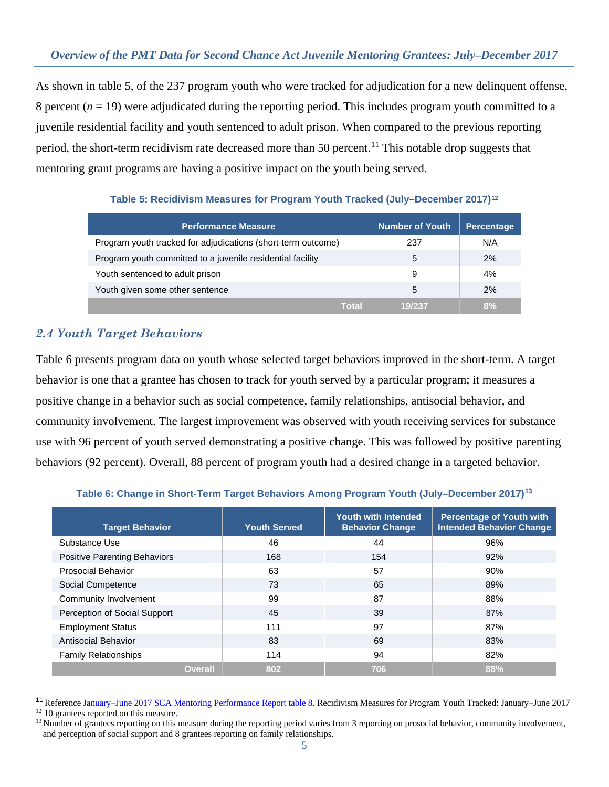As shown in table 5, of the 237 program youth who were tracked for adjudication for a new delinquent offense, 8 percent  $(n = 19)$  were adjudicated during the reporting period. This includes program youth committed to a juvenile residential facility and youth sentenced to adult prison. When compared to the previous reporting period, the short-term recidivism rate decreased more than 50 percent.<sup>[11](#page-4-0)</sup> This notable drop suggests that mentoring grant programs are having a positive impact on the youth being served.

| <b>Performance Measure</b>                                   | <b>Number of Youth</b> | <b>Percentage</b> |
|--------------------------------------------------------------|------------------------|-------------------|
| Program youth tracked for adjudications (short-term outcome) | 237                    | N/A               |
| Program youth committed to a juvenile residential facility   | 5                      | 2%                |
| Youth sentenced to adult prison                              | 9                      | 4%                |
| Youth given some other sentence                              | 5                      | 2%                |
| Total                                                        | 19/237                 | 8%                |

**Table 5: Recidivism Measures for Program Youth Tracked (July–December 2017)[12](#page-4-1)**

## *2.4 Youth Target Behaviors*

Table 6 presents program data on youth whose selected target behaviors improved in the short-term. A target behavior is one that a grantee has chosen to track for youth served by a particular program; it measures a positive change in a behavior such as social competence, family relationships, antisocial behavior, and community involvement. The largest improvement was observed with youth receiving services for substance use with 96 percent of youth served demonstrating a positive change. This was followed by positive parenting behaviors (92 percent). Overall, 88 percent of program youth had a desired change in a targeted behavior.

| <b>Target Behavior</b>              | <b>Youth Served</b> | <b>Youth with Intended</b><br><b>Behavior Change</b> | <b>Percentage of Youth with</b><br><b>Intended Behavior Change</b> |
|-------------------------------------|---------------------|------------------------------------------------------|--------------------------------------------------------------------|
| Substance Use                       | 46                  | 44                                                   | 96%                                                                |
| <b>Positive Parenting Behaviors</b> | 168                 | 154                                                  | 92%                                                                |
| <b>Prosocial Behavior</b>           | 63                  | 57                                                   | 90%                                                                |
| Social Competence                   | 73                  | 65                                                   | 89%                                                                |
| Community Involvement               | 99                  | 87                                                   | 88%                                                                |
| Perception of Social Support        | 45                  | 39                                                   | 87%                                                                |
| <b>Employment Status</b>            | 111                 | 97                                                   | 87%                                                                |
| Antisocial Behavior                 | 83                  | 69                                                   | 83%                                                                |
| <b>Family Relationships</b>         | 114                 | 94                                                   | 82%                                                                |
| <b>Overall</b>                      | 802                 | 706                                                  | 88%                                                                |

#### **Table 6: Change in Short-Term Target Behaviors Among Program Youth (July–December 2017)[13](#page-4-2)**

 $\overline{a}$ 

<span id="page-4-0"></span><sup>&</sup>lt;sup>11</sup> Reference [January–June 2017 SCA Mentoring Performance Report table 8.](https://ojjdppmt.ojp.gov/help/OJJDP%20RE_DataMemo_SCA_Final_2017_508.pdf) Recidivism Measures for Program Youth Tracked: January–June 2017

<span id="page-4-1"></span><sup>&</sup>lt;sup>12</sup> 10 grantees reported on this measure.

<span id="page-4-2"></span><sup>&</sup>lt;sup>13</sup> Number of grantees reporting on this measure during the reporting period varies from 3 reporting on prosocial behavior, community involvement, and perception of social support and 8 grantees reporting on family relationships.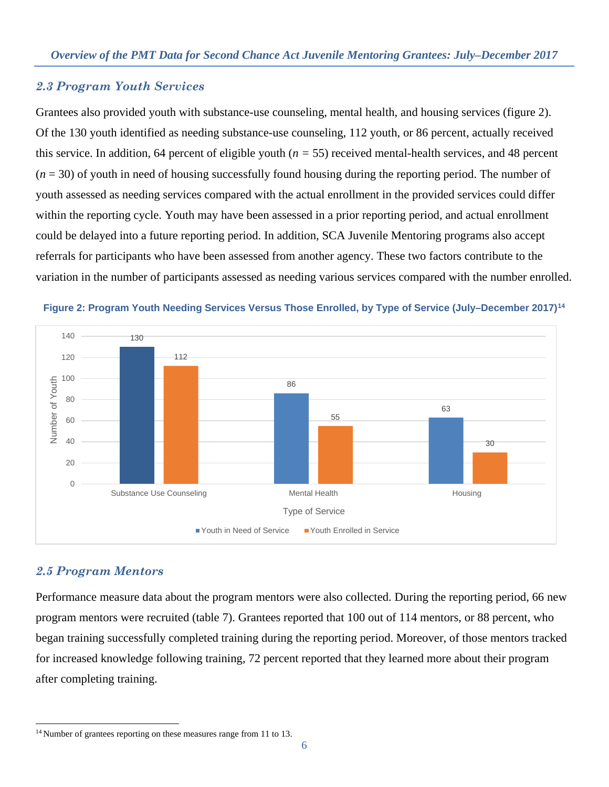#### *2.3 Program Youth Services*

Grantees also provided youth with substance-use counseling, mental health, and housing services (figure 2). Of the 130 youth identified as needing substance-use counseling, 112 youth, or 86 percent, actually received this service. In addition, 64 percent of eligible youth (*n =* 55) received mental-health services, and 48 percent  $(n = 30)$  of youth in need of housing successfully found housing during the reporting period. The number of youth assessed as needing services compared with the actual enrollment in the provided services could differ within the reporting cycle. Youth may have been assessed in a prior reporting period, and actual enrollment could be delayed into a future reporting period. In addition, SCA Juvenile Mentoring programs also accept referrals for participants who have been assessed from another agency. These two factors contribute to the variation in the number of participants assessed as needing various services compared with the number enrolled.





#### *2.5 Program Mentors*

 $\overline{a}$ 

Performance measure data about the program mentors were also collected. During the reporting period, 66 new program mentors were recruited (table 7). Grantees reported that 100 out of 114 mentors, or 88 percent, who began training successfully completed training during the reporting period. Moreover, of those mentors tracked for increased knowledge following training, 72 percent reported that they learned more about their program after completing training.

<span id="page-5-0"></span><sup>&</sup>lt;sup>14</sup> Number of grantees reporting on these measures range from 11 to 13.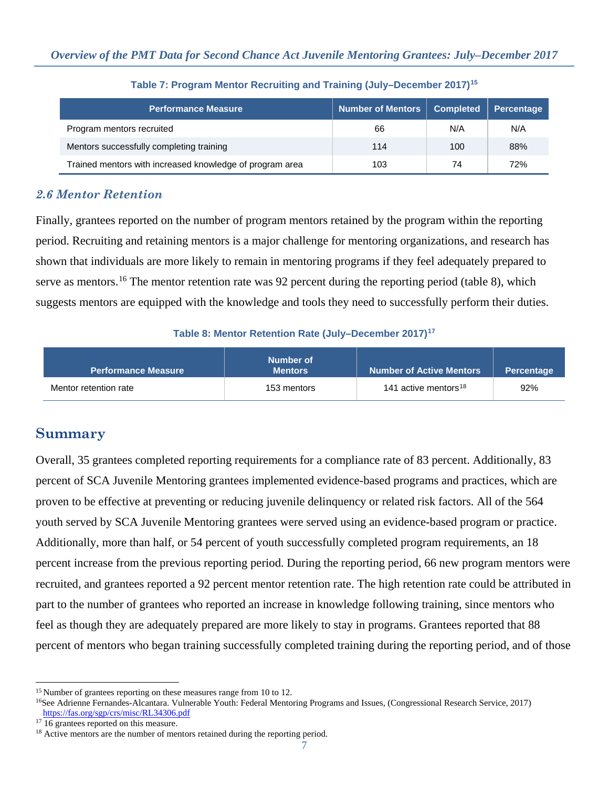| <b>Performance Measure</b>                               | Number of Mentors | <b>Completed</b> | Percentage |
|----------------------------------------------------------|-------------------|------------------|------------|
| Program mentors recruited                                | 66                | N/A              | N/A        |
| Mentors successfully completing training                 | 114               | 100              | 88%        |
| Trained mentors with increased knowledge of program area | 103               | 74               | 72%        |

**Table 7: Program Mentor Recruiting and Training (July–December 2017)[15](#page-6-0)**

### *2.6 Mentor Retention*

Finally, grantees reported on the number of program mentors retained by the program within the reporting period. Recruiting and retaining mentors is a major challenge for mentoring organizations, and research has shown that individuals are more likely to remain in mentoring programs if they feel adequately prepared to serve as mentors.<sup>[16](#page-6-1)</sup> The mentor retention rate was 92 percent during the reporting period (table 8), which suggests mentors are equipped with the knowledge and tools they need to successfully perform their duties.

#### **Table 8: Mentor Retention Rate (July–December 2017)[17](#page-6-2)**

| <b>Performance Measure</b> | Number of<br><b>Mentors</b> | <b>Number of Active Mentors</b>  | <b>Percentage</b> |
|----------------------------|-----------------------------|----------------------------------|-------------------|
| Mentor retention rate      | 153 mentors                 | 141 active mentors <sup>18</sup> | 92%               |

## **Summary**

Overall, 35 grantees completed reporting requirements for a compliance rate of 83 percent. Additionally, 83 percent of SCA Juvenile Mentoring grantees implemented evidence-based programs and practices, which are proven to be effective at preventing or reducing juvenile delinquency or related risk factors. All of the 564 youth served by SCA Juvenile Mentoring grantees were served using an evidence-based program or practice. Additionally, more than half, or 54 percent of youth successfully completed program requirements, an 18 percent increase from the previous reporting period. During the reporting period, 66 new program mentors were recruited, and grantees reported a 92 percent mentor retention rate. The high retention rate could be attributed in part to the number of grantees who reported an increase in knowledge following training, since mentors who feel as though they are adequately prepared are more likely to stay in programs. Grantees reported that 88 percent of mentors who began training successfully completed training during the reporting period, and of those

 $\ddot{\phantom{a}}$ <sup>15</sup> Number of grantees reporting on these measures range from 10 to 12.

<span id="page-6-1"></span><span id="page-6-0"></span><sup>16</sup>See Adrienne Fernandes-Alcantara. Vulnerable Youth: Federal Mentoring Programs and Issues, (Congressional Research Service, 2017) <https://fas.org/sgp/crs/misc/RL34306.pdf>

<span id="page-6-2"></span><sup>&</sup>lt;sup>17</sup> 16 grantees reported on this measure.

<span id="page-6-3"></span><sup>&</sup>lt;sup>18</sup> Active mentors are the number of mentors retained during the reporting period.